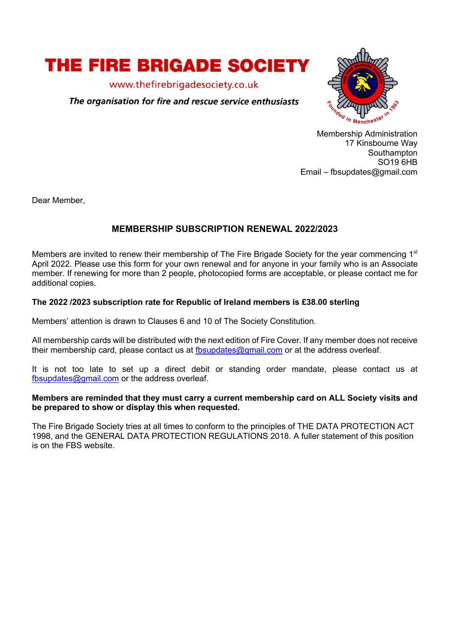

www.thefirebrigadesociety.co.uk

# The organisation for fire and rescue service enthusiasts



Membership Administration 17 Kinsbourne Way Southampton SO19 6HB Email – fbsupdates@gmail.com

Dear Member,

# **MEMBERSHIP SUBSCRIPTION RENEWAL 2022/2023**

Members are invited to renew their membership of The Fire Brigade Society for the year commencing 1<sup>st</sup> April 2022. Please use this form for your own renewal and for anyone in your family who is an Associate member. If renewing for more than 2 people, photocopied forms are acceptable, or please contact me for additional copies.

## **The 2022 /2023 subscription rate for Republic of Ireland members is £38.00 sterling**

Members' attention is drawn to Clauses 6 and 10 of The Society Constitution.

All membership cards will be distributed with the next edition of Fire Cover. If any member does not receive their membership card, please contact us at fbsupdates@gmail.com or at the address overleaf.

It is not too late to set up a direct debit or standing order mandate, please contact us at fbsupdates@gmail.com or the address overleaf.

#### **Members are reminded that they must carry a current membership card on ALL Society visits and be prepared to show or display this when requested.**

The Fire Brigade Society tries at all times to conform to the principles of THE DATA PROTECTION ACT 1998, and the GENERAL DATA PROTECTION REGULATIONS 2018. A fuller statement of this position is on the FBS website.